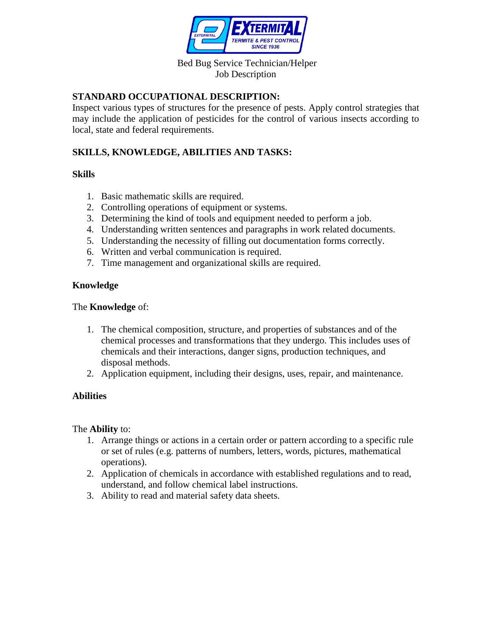

### Bed Bug Service Technician/Helper Job Description

## **STANDARD OCCUPATIONAL DESCRIPTION:**

Inspect various types of structures for the presence of pests. Apply control strategies that may include the application of pesticides for the control of various insects according to local, state and federal requirements.

# **SKILLS, KNOWLEDGE, ABILITIES AND TASKS:**

## **Skills**

- 1. Basic mathematic skills are required.
- 2. Controlling operations of equipment or systems.
- 3. Determining the kind of tools and equipment needed to perform a job.
- 4. Understanding written sentences and paragraphs in work related documents.
- 5. Understanding the necessity of filling out documentation forms correctly.
- 6. Written and verbal communication is required.
- 7. Time management and organizational skills are required.

## **Knowledge**

#### The **Knowledge** of:

- 1. The chemical composition, structure, and properties of substances and of the chemical processes and transformations that they undergo. This includes uses of chemicals and their interactions, danger signs, production techniques, and disposal methods.
- 2. Application equipment, including their designs, uses, repair, and maintenance.

## **Abilities**

#### The **Ability** to:

- 1. Arrange things or actions in a certain order or pattern according to a specific rule or set of rules (e.g. patterns of numbers, letters, words, pictures, mathematical operations).
- 2. Application of chemicals in accordance with established regulations and to read, understand, and follow chemical label instructions.
- 3. Ability to read and material safety data sheets.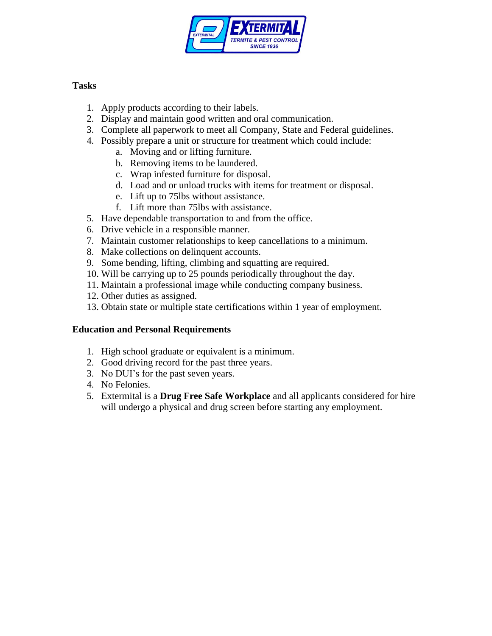

# **Tasks**

- 1. Apply products according to their labels.
- 2. Display and maintain good written and oral communication.
- 3. Complete all paperwork to meet all Company, State and Federal guidelines.
- 4. Possibly prepare a unit or structure for treatment which could include:
	- a. Moving and or lifting furniture.
	- b. Removing items to be laundered.
	- c. Wrap infested furniture for disposal.
	- d. Load and or unload trucks with items for treatment or disposal.
	- e. Lift up to 75lbs without assistance.
	- f. Lift more than 75lbs with assistance.
- 5. Have dependable transportation to and from the office.
- 6. Drive vehicle in a responsible manner.
- 7. Maintain customer relationships to keep cancellations to a minimum.
- 8. Make collections on delinquent accounts.
- 9. Some bending, lifting, climbing and squatting are required.
- 10. Will be carrying up to 25 pounds periodically throughout the day.
- 11. Maintain a professional image while conducting company business.
- 12. Other duties as assigned.
- 13. Obtain state or multiple state certifications within 1 year of employment.

## **Education and Personal Requirements**

- 1. High school graduate or equivalent is a minimum.
- 2. Good driving record for the past three years.
- 3. No DUI's for the past seven years.
- 4. No Felonies.
- 5. Extermital is a **Drug Free Safe Workplace** and all applicants considered for hire will undergo a physical and drug screen before starting any employment.